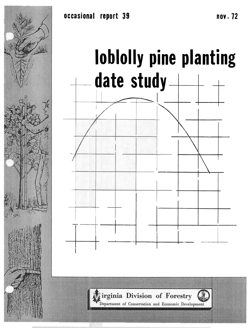



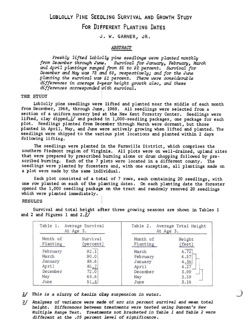## LOBLOLLY PINE SEEDLING SURVIVAL AND GROWTH STUDY FOR DIFFERENT PLANTING DATES

J. W. GARNER, JR.

## **ABSTRACT**

Freshly lifted loblolly pine seedlings were planted monthly from December through June. Survival for January, February, March and April plantings ranged from 85 to 92 percent. Survival fo: December and May was 72 and 69, respectively; and for the June planting the survival was 51 percent. There were considerable differences in average 3-year height growth also, and these differences corresponded with survival.

## THE STUDY

Loblolly pine seedlings were lifted and planted near the middle of each month from December, 1968, through June, 1969. All seedlings were selected from a section of a uniform nursery ped at the New Kent Forestry Center. Seedlings were lifted, clay dipped, $\frac{1}{2}$  and packed in 1,000-seedling packages, one package for each plot. Seedlings planted from December through March were dormant, but those planted in April, May, and June were actively growing when lifted and planted. The seedlings were shipped to the various plot locations and planted within 2 days following lifting.

The seedlings were planted in the Farmville District, which comprises the southern Piedmont region of Virginia. All plots were on well-drained, upland sites that were prepared by prescribed burning alone or drum chopping followed by prescribed burning. Each of the 7 plots were located in a different county. The seedlings were planted by foresters and, with one exception, all plantings made on a plot were made by the same individual.

Each plot consisted of a total of 7 rows, each containing 20 seedlings, with one row planted on each of the planting dates. On each planting date the forester opened the 1,000 seedling package on the tract and randomly removed 20 seedlings which were planted immediately.

## **RESULTS**

|          | Table 1. Average Survival<br>At Age 3. | Table 2. Average Total Height<br>At Age 3. |        |
|----------|----------------------------------------|--------------------------------------------|--------|
| Month of | Survival                               | Month of                                   | Height |
| Planting | (percent)                              | Planting                                   | (feet) |
| February | 92.1                                   | March                                      | 4.72   |
| March    | 90.0                                   | February                                   | 4.57   |
| January  | 88.6                                   | January                                    | 4.36   |
| April    | 85.7                                   | April                                      | 4.27   |
| December | 72.0                                   | December                                   | 3.99   |
| May      | 68.6                                   | May                                        | 3.59   |
| June     | 51.4                                   | June                                       | 3.16   |

Survival and total height after three growing seasons are shown in Tables 1 and 2 and Figures 1 and  $2.2/1$ 

- $\mathbf{I} \mathbf{/}$  This is a slurry of kaolin clay suspension in water.
- 2/ Analyses of variance were made of arc sin percent survival and mean tot. height. Differences between treatments were tested using Duncan's New Multiple Range Test. Treatments not bracketed in Table 1 and Table 2 were different at the .05 percent level of significance .

')